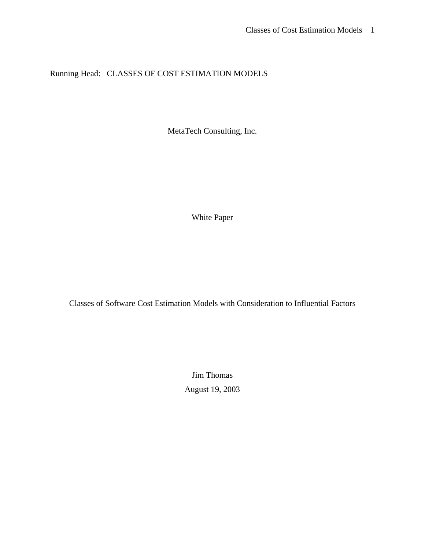Running Head: CLASSES OF COST ESTIMATION MODELS

MetaTech Consulting, Inc.

White Paper

Classes of Software Cost Estimation Models with Consideration to Influential Factors

Jim Thomas August 19, 2003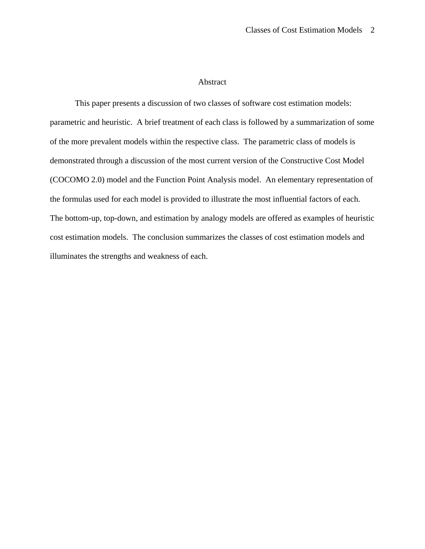# Abstract

This paper presents a discussion of two classes of software cost estimation models: parametric and heuristic. A brief treatment of each class is followed by a summarization of some of the more prevalent models within the respective class. The parametric class of models is demonstrated through a discussion of the most current version of the Constructive Cost Model (COCOMO 2.0) model and the Function Point Analysis model. An elementary representation of the formulas used for each model is provided to illustrate the most influential factors of each. The bottom-up, top-down, and estimation by analogy models are offered as examples of heuristic cost estimation models. The conclusion summarizes the classes of cost estimation models and illuminates the strengths and weakness of each.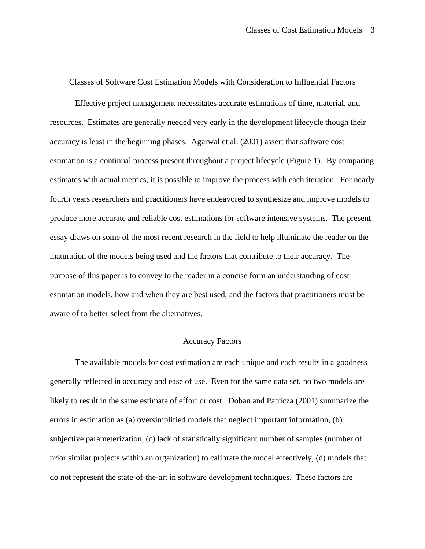Classes of Software Cost Estimation Models with Consideration to Influential Factors

Effective project management necessitates accurate estimations of time, material, and resources. Estimates are generally needed very early in the development lifecycle though their accuracy is least in the beginning phases. Agarwal et al. (2001) assert that software cost estimation is a continual process present throughout a project lifecycle (Figure 1). By comparing estimates with actual metrics, it is possible to improve the process with each iteration. For nearly fourth years researchers and practitioners have endeavored to synthesize and improve models to produce more accurate and reliable cost estimations for software intensive systems. The present essay draws on some of the most recent research in the field to help illuminate the reader on the maturation of the models being used and the factors that contribute to their accuracy. The purpose of this paper is to convey to the reader in a concise form an understanding of cost estimation models, how and when they are best used, and the factors that practitioners must be aware of to better select from the alternatives.

### Accuracy Factors

The available models for cost estimation are each unique and each results in a goodness generally reflected in accuracy and ease of use. Even for the same data set, no two models are likely to result in the same estimate of effort or cost. Doban and Patricza (2001) summarize the errors in estimation as (a) oversimplified models that neglect important information, (b) subjective parameterization, (c) lack of statistically significant number of samples (number of prior similar projects within an organization) to calibrate the model effectively, (d) models that do not represent the state-of-the-art in software development techniques. These factors are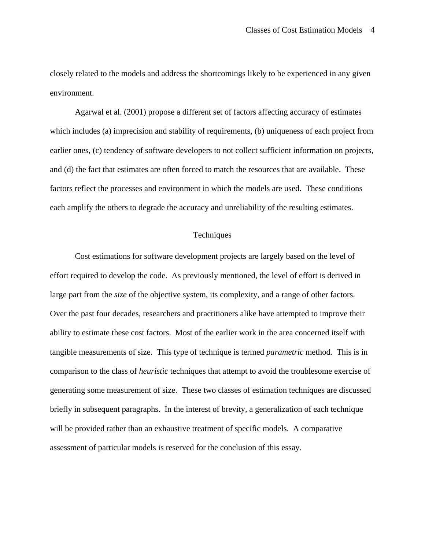closely related to the models and address the shortcomings likely to be experienced in any given environment.

Agarwal et al. (2001) propose a different set of factors affecting accuracy of estimates which includes (a) imprecision and stability of requirements, (b) uniqueness of each project from earlier ones, (c) tendency of software developers to not collect sufficient information on projects, and (d) the fact that estimates are often forced to match the resources that are available. These factors reflect the processes and environment in which the models are used. These conditions each amplify the others to degrade the accuracy and unreliability of the resulting estimates.

### **Techniques**

Cost estimations for software development projects are largely based on the level of effort required to develop the code. As previously mentioned, the level of effort is derived in large part from the *size* of the objective system, its complexity, and a range of other factors. Over the past four decades, researchers and practitioners alike have attempted to improve their ability to estimate these cost factors. Most of the earlier work in the area concerned itself with tangible measurements of size. This type of technique is termed *parametric* method*.* This is in comparison to the class of *heuristic* techniques that attempt to avoid the troublesome exercise of generating some measurement of size. These two classes of estimation techniques are discussed briefly in subsequent paragraphs. In the interest of brevity, a generalization of each technique will be provided rather than an exhaustive treatment of specific models. A comparative assessment of particular models is reserved for the conclusion of this essay.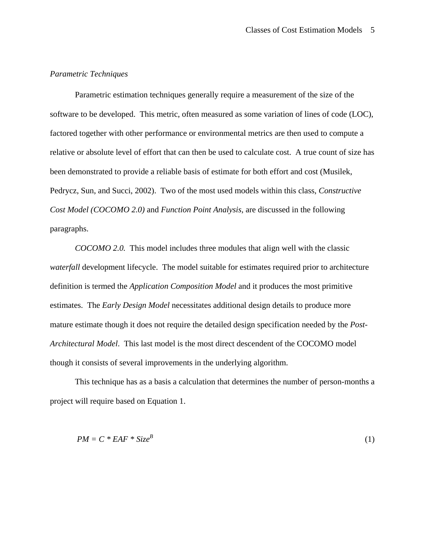## *Parametric Techniques*

Parametric estimation techniques generally require a measurement of the size of the software to be developed. This metric, often measured as some variation of lines of code (LOC), factored together with other performance or environmental metrics are then used to compute a relative or absolute level of effort that can then be used to calculate cost. A true count of size has been demonstrated to provide a reliable basis of estimate for both effort and cost (Musilek, Pedrycz, Sun, and Succi, 2002). Two of the most used models within this class, *Constructive Cost Model (COCOMO 2.0)* and *Function Point Analysis,* are discussed in the following paragraphs.

*COCOMO 2.0.* This model includes three modules that align well with the classic *waterfall* development lifecycle. The model suitable for estimates required prior to architecture definition is termed the *Application Composition Model* and it produces the most primitive estimates. The *Early Design Model* necessitates additional design details to produce more mature estimate though it does not require the detailed design specification needed by the *Post-Architectural Model*. This last model is the most direct descendent of the COCOMO model though it consists of several improvements in the underlying algorithm.

This technique has as a basis a calculation that determines the number of person-months a project will require based on Equation 1.

$$
PM = C * EAF * Size^B \tag{1}
$$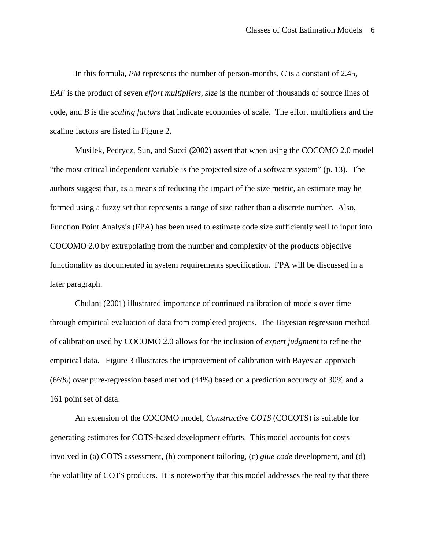In this formula, *PM* represents the number of person-months, *C* is a constant of 2.45, *EAF* is the product of seven *effort multipliers*, *size* is the number of thousands of source lines of code, and *B* is the *scaling factor*s that indicate economies of scale. The effort multipliers and the scaling factors are listed in Figure 2.

Musilek, Pedrycz, Sun, and Succi (2002) assert that when using the COCOMO 2.0 model "the most critical independent variable is the projected size of a software system" (p. 13). The authors suggest that, as a means of reducing the impact of the size metric, an estimate may be formed using a fuzzy set that represents a range of size rather than a discrete number. Also, Function Point Analysis (FPA) has been used to estimate code size sufficiently well to input into COCOMO 2.0 by extrapolating from the number and complexity of the products objective functionality as documented in system requirements specification. FPA will be discussed in a later paragraph.

Chulani (2001) illustrated importance of continued calibration of models over time through empirical evaluation of data from completed projects. The Bayesian regression method of calibration used by COCOMO 2.0 allows for the inclusion of *expert judgment* to refine the empirical data. Figure 3 illustrates the improvement of calibration with Bayesian approach (66%) over pure-regression based method (44%) based on a prediction accuracy of 30% and a 161 point set of data.

An extension of the COCOMO model, *Constructive COTS* (COCOTS) is suitable for generating estimates for COTS-based development efforts. This model accounts for costs involved in (a) COTS assessment, (b) component tailoring, (c) *glue code* development, and (d) the volatility of COTS products. It is noteworthy that this model addresses the reality that there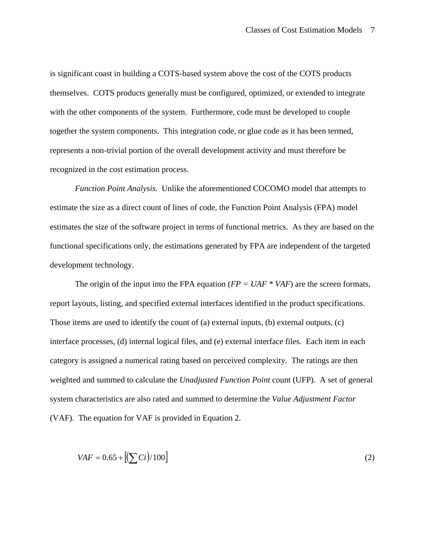is significant coast in building a COTS-based system above the cost of the COTS products themselves. COTS products generally must be configured, optimized, or extended to integrate with the other components of the system. Furthermore, code must be developed to couple together the system components. This integration code, or glue code as it has been termed, represents a non-trivial portion of the overall development activity and must therefore be recognized in the cost estimation process.

*Function Point Analysis.* Unlike the aforementioned COCOMO model that attempts to estimate the size as a direct count of lines of code, the Function Point Analysis (FPA) model estimates the size of the software project in terms of functional metrics. As they are based on the functional specifications only, the estimations generated by FPA are independent of the targeted development technology.

The origin of the input into the FPA equation  $(FP = UAF * VAF)$  are the screen formats, report layouts, listing, and specified external interfaces identified in the product specifications. Those items are used to identify the count of (a) external inputs, (b) external outputs, (c) interface processes, (d) internal logical files, and (e) external interface files. Each item in each category is assigned a numerical rating based on perceived complexity. The ratings are then weighted and summed to calculate the *Unadjusted Function Point* count (UFP). A set of general system characteristics are also rated and summed to determine the *Value Adjustment Factor* (VAF). The equation for VAF is provided in Equation 2.

$$
VAF = 0.65 + [[\sum Ci]/100]
$$
 (2)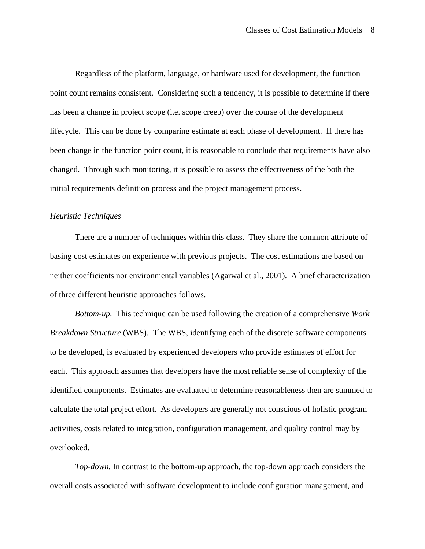Regardless of the platform, language, or hardware used for development, the function point count remains consistent. Considering such a tendency, it is possible to determine if there has been a change in project scope (i.e. scope creep) over the course of the development lifecycle. This can be done by comparing estimate at each phase of development. If there has been change in the function point count, it is reasonable to conclude that requirements have also changed. Through such monitoring, it is possible to assess the effectiveness of the both the initial requirements definition process and the project management process.

### *Heuristic Techniques*

There are a number of techniques within this class. They share the common attribute of basing cost estimates on experience with previous projects. The cost estimations are based on neither coefficients nor environmental variables (Agarwal et al., 2001). A brief characterization of three different heuristic approaches follows.

*Bottom-up.* This technique can be used following the creation of a comprehensive *Work Breakdown Structure* (WBS). The WBS, identifying each of the discrete software components to be developed, is evaluated by experienced developers who provide estimates of effort for each. This approach assumes that developers have the most reliable sense of complexity of the identified components. Estimates are evaluated to determine reasonableness then are summed to calculate the total project effort. As developers are generally not conscious of holistic program activities, costs related to integration, configuration management, and quality control may by overlooked.

*Top-down.* In contrast to the bottom-up approach, the top-down approach considers the overall costs associated with software development to include configuration management, and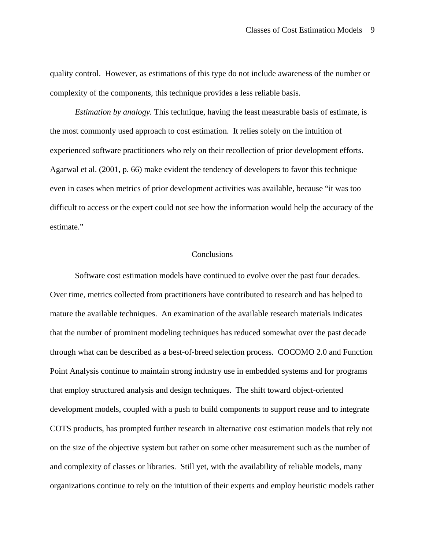quality control. However, as estimations of this type do not include awareness of the number or complexity of the components, this technique provides a less reliable basis.

*Estimation by analogy.* This technique, having the least measurable basis of estimate, is the most commonly used approach to cost estimation. It relies solely on the intuition of experienced software practitioners who rely on their recollection of prior development efforts. Agarwal et al. (2001, p. 66) make evident the tendency of developers to favor this technique even in cases when metrics of prior development activities was available, because "it was too difficult to access or the expert could not see how the information would help the accuracy of the estimate."

### **Conclusions**

Software cost estimation models have continued to evolve over the past four decades. Over time, metrics collected from practitioners have contributed to research and has helped to mature the available techniques. An examination of the available research materials indicates that the number of prominent modeling techniques has reduced somewhat over the past decade through what can be described as a best-of-breed selection process. COCOMO 2.0 and Function Point Analysis continue to maintain strong industry use in embedded systems and for programs that employ structured analysis and design techniques. The shift toward object-oriented development models, coupled with a push to build components to support reuse and to integrate COTS products, has prompted further research in alternative cost estimation models that rely not on the size of the objective system but rather on some other measurement such as the number of and complexity of classes or libraries. Still yet, with the availability of reliable models, many organizations continue to rely on the intuition of their experts and employ heuristic models rather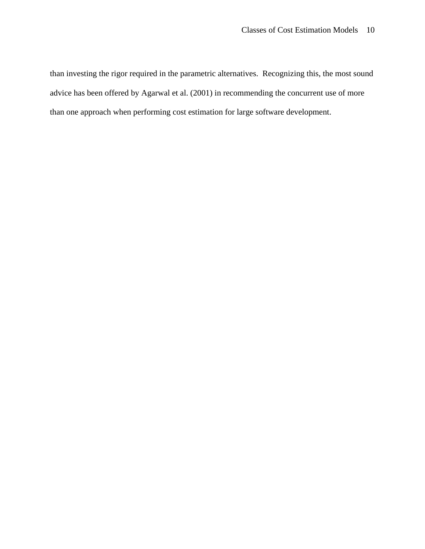than investing the rigor required in the parametric alternatives. Recognizing this, the most sound advice has been offered by Agarwal et al. (2001) in recommending the concurrent use of more than one approach when performing cost estimation for large software development.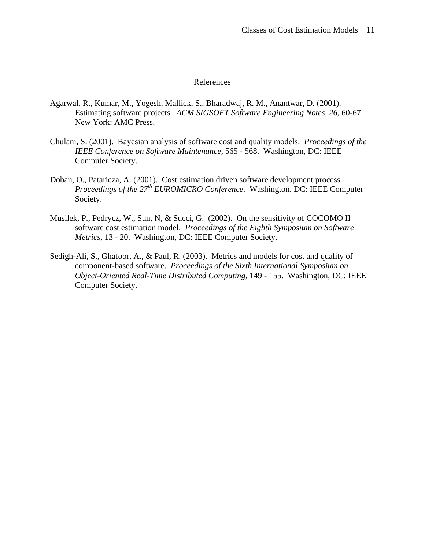### References

- Agarwal, R., Kumar, M., Yogesh, Mallick, S., Bharadwaj, R. M., Anantwar, D. (2001). Estimating software projects. *ACM SIGSOFT Software Engineering Notes, 26,* 60-67. New York: AMC Press.
- Chulani, S. (2001). Bayesian analysis of software cost and quality models. *Proceedings of the IEEE Conference on Software Maintenance,* 565 - 568. Washington, DC: IEEE Computer Society.
- Doban, O., Pataricza, A. (2001). Cost estimation driven software development process. *Proceedings of the 27th EUROMICRO Conference*. Washington, DC: IEEE Computer Society.
- Musilek, P., Pedrycz, W., Sun, N, & Succi, G. (2002). On the sensitivity of COCOMO II software cost estimation model. *Proceedings of the Eighth Symposium on Software Metrics,* 13 - 20. Washington, DC: IEEE Computer Society.
- Sedigh-Ali, S., Ghafoor, A., & Paul, R. (2003). Metrics and models for cost and quality of component-based software. *Proceedings of the Sixth International Symposium on Object-Oriented Real-Time Distributed Computing,* 149 - 155. Washington, DC: IEEE Computer Society.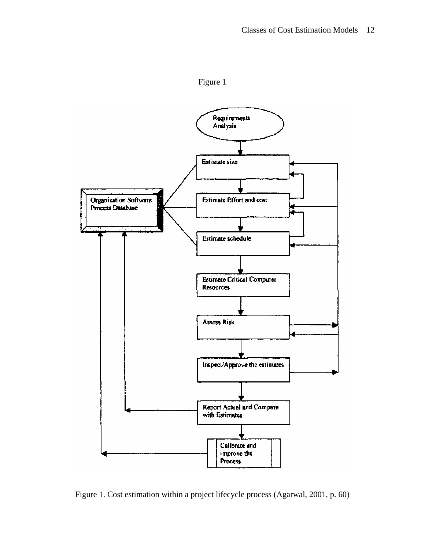



Figure 1. Cost estimation within a project lifecycle process (Agarwal, 2001, p. 60)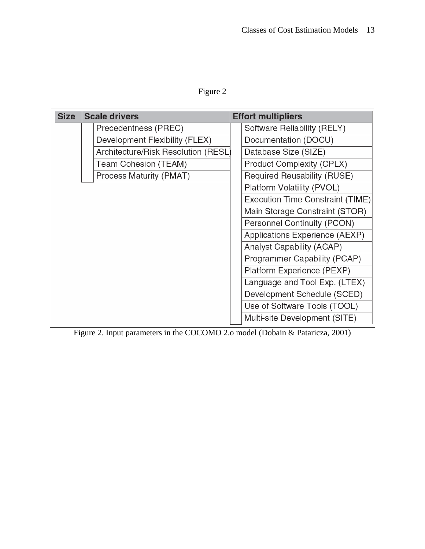Figure 2

| <b>Size</b> | <b>Scale drivers</b>                | <b>Effort multipliers</b>        |
|-------------|-------------------------------------|----------------------------------|
|             | Precedentness (PREC)                | Software Reliability (RELY)      |
|             | Development Flexibility (FLEX)      | Documentation (DOCU)             |
|             | Architecture/Risk Resolution (RESL) | Database Size (SIZE)             |
|             | Team Cohesion (TEAM)                | <b>Product Complexity (CPLX)</b> |
|             | Process Maturity (PMAT)             | Required Reusability (RUSE)      |
|             |                                     | Platform Volatility (PVOL)       |
|             |                                     | Execution Time Constraint (TIME) |
|             |                                     | Main Storage Constraint (STOR)   |
|             |                                     | Personnel Continuity (PCON)      |
|             |                                     | Applications Experience (AEXP)   |
|             |                                     | Analyst Capability (ACAP)        |
|             |                                     | Programmer Capability (PCAP)     |
|             |                                     | Platform Experience (PEXP)       |
|             |                                     | Language and Tool Exp. (LTEX)    |
|             |                                     | Development Schedule (SCED)      |
|             |                                     | Use of Software Tools (TOOL)     |
|             |                                     | Multi-site Development (SITE)    |

Figure 2. Input parameters in the COCOMO 2.o model (Dobain & Pataricza, 2001)